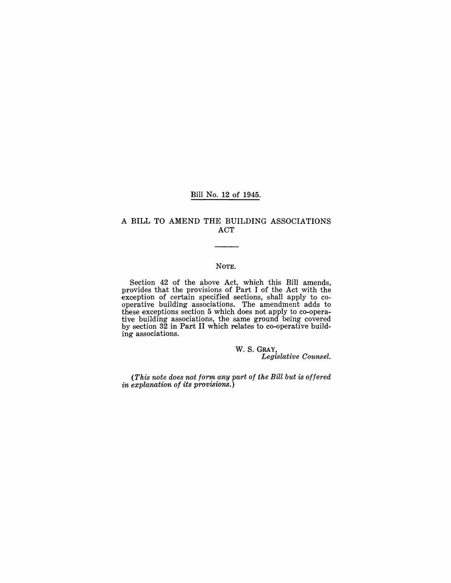#### Bill No. 12 of 1945.

#### A BILL TO AMEND THE BUILDING ASSOCIATIONS ACT

#### NOTE.

Section 42 of the above Act, which this Bill amends, provides that the provisions of Part I of the Act with the exception of certain specified sections, shall apply to co operative building associations. The amendment adds to these exceptions section 5 which does not apply to co-operative building associations, the same ground being covered by section  $32$  in Part II which relates to co-operative building associations.

> w. S.GRAY, *Legislative Counsel.*

*(This note does not form any part of the Bill but is offered in explanation of its provisions.)*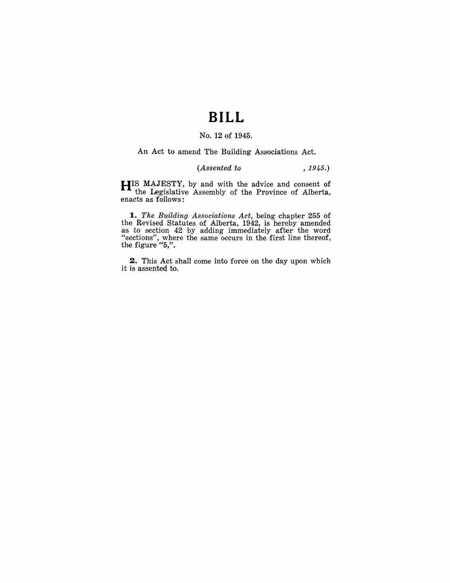# **BILL**

### No. **12** of 1945.

An Act to amend The Building Associations Act.

### *(Assented to* , 1945.)

**HIS** MAJESTY, by and with the advice and consent of the Legislative Assembly of the Province of Alberta, enacts as follows:

**1.** The Building Associations Act, being chapter 255 of the Revised Statutes of Alberta, 1942, is hereby amended as to section 42 by adding immediately after the word "sections", where the same occurs in the first line thereof, the figure "5,".

**2.** This Act shall come into force on the day upon which it is assented to.